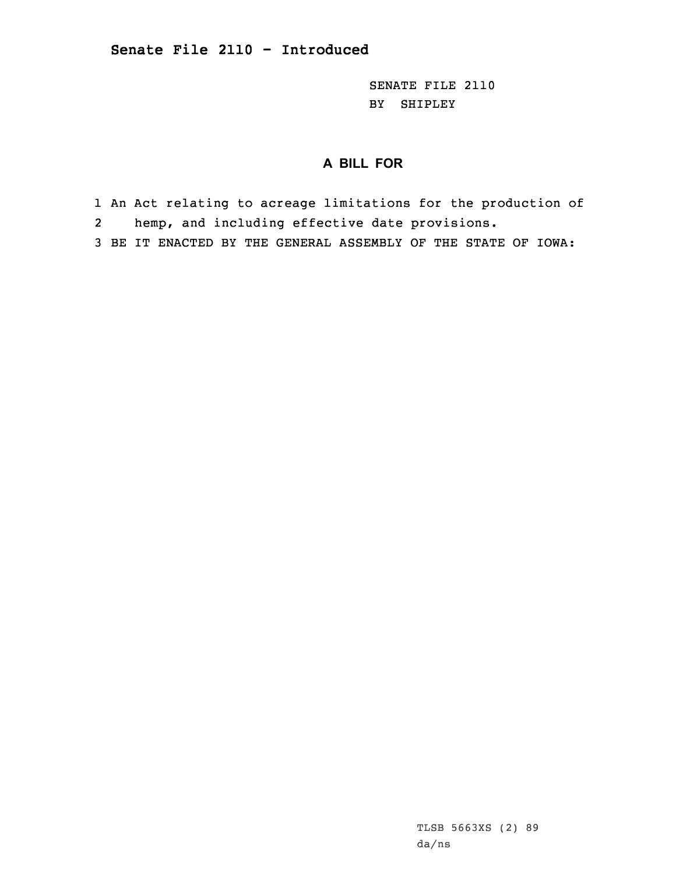SENATE FILE 2110 BY SHIPLEY

## **A BILL FOR**

- 1 An Act relating to acreage limitations for the production of
- 2hemp, and including effective date provisions.
- 3 BE IT ENACTED BY THE GENERAL ASSEMBLY OF THE STATE OF IOWA: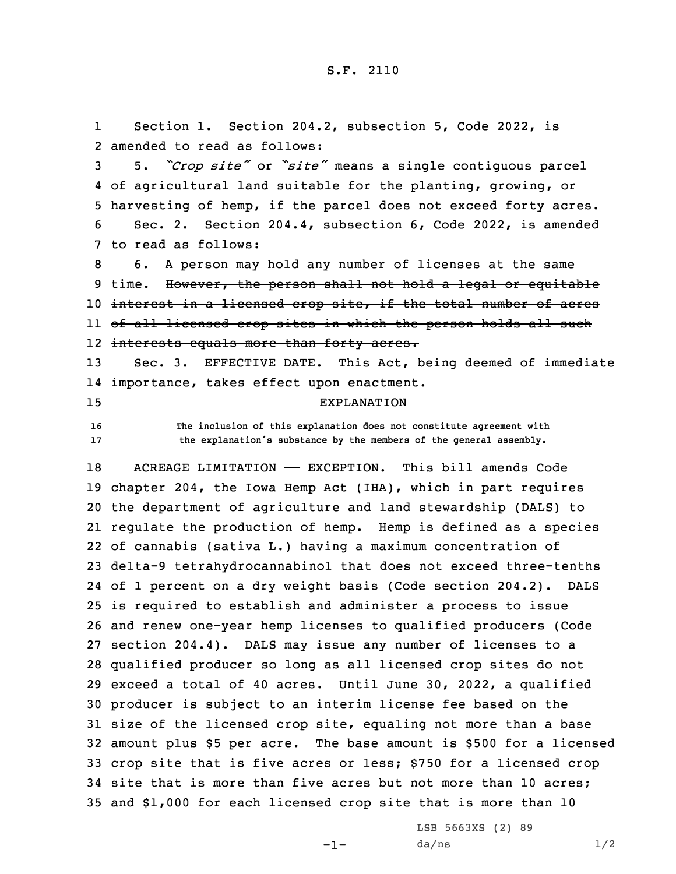1 Section 1. Section 204.2, subsection 5, Code 2022, is 2 amended to read as follows:

 5. *"Crop site"* or *"site"* means <sup>a</sup> single contiguous parcel of agricultural land suitable for the planting, growing, or 5 harvesting of hemp, if the parcel does not exceed forty acres. Sec. 2. Section 204.4, subsection 6, Code 2022, is amended to read as follows:

 6. <sup>A</sup> person may hold any number of licenses at the same 9 time. However, the person shall not hold a legal or equitable interest in <sup>a</sup> licensed crop site, if the total number of acres of all licensed crop sites in which the person holds all such interests equals more than forty acres.

13 Sec. 3. EFFECTIVE DATE. This Act, being deemed of immediate 14 importance, takes effect upon enactment. 15 EXPLANATION

16 **The inclusion of this explanation does not constitute agreement with**

<sup>17</sup> **the explanation's substance by the members of the general assembly.**

18 ACREAGE LIMITATION - EXCEPTION. This bill amends Code chapter 204, the Iowa Hemp Act (IHA), which in part requires the department of agriculture and land stewardship (DALS) to regulate the production of hemp. Hemp is defined as <sup>a</sup> species of cannabis (sativa L.) having <sup>a</sup> maximum concentration of delta-9 tetrahydrocannabinol that does not exceed three-tenths of 1 percent on <sup>a</sup> dry weight basis (Code section 204.2). DALS is required to establish and administer <sup>a</sup> process to issue and renew one-year hemp licenses to qualified producers (Code section 204.4). DALS may issue any number of licenses to <sup>a</sup> qualified producer so long as all licensed crop sites do not exceed <sup>a</sup> total of 40 acres. Until June 30, 2022, <sup>a</sup> qualified producer is subject to an interim license fee based on the size of the licensed crop site, equaling not more than <sup>a</sup> base amount plus \$5 per acre. The base amount is \$500 for <sup>a</sup> licensed crop site that is five acres or less; \$750 for <sup>a</sup> licensed crop site that is more than five acres but not more than 10 acres; and \$1,000 for each licensed crop site that is more than 10

-1-

LSB 5663XS (2) 89  $da/ns$   $1/2$